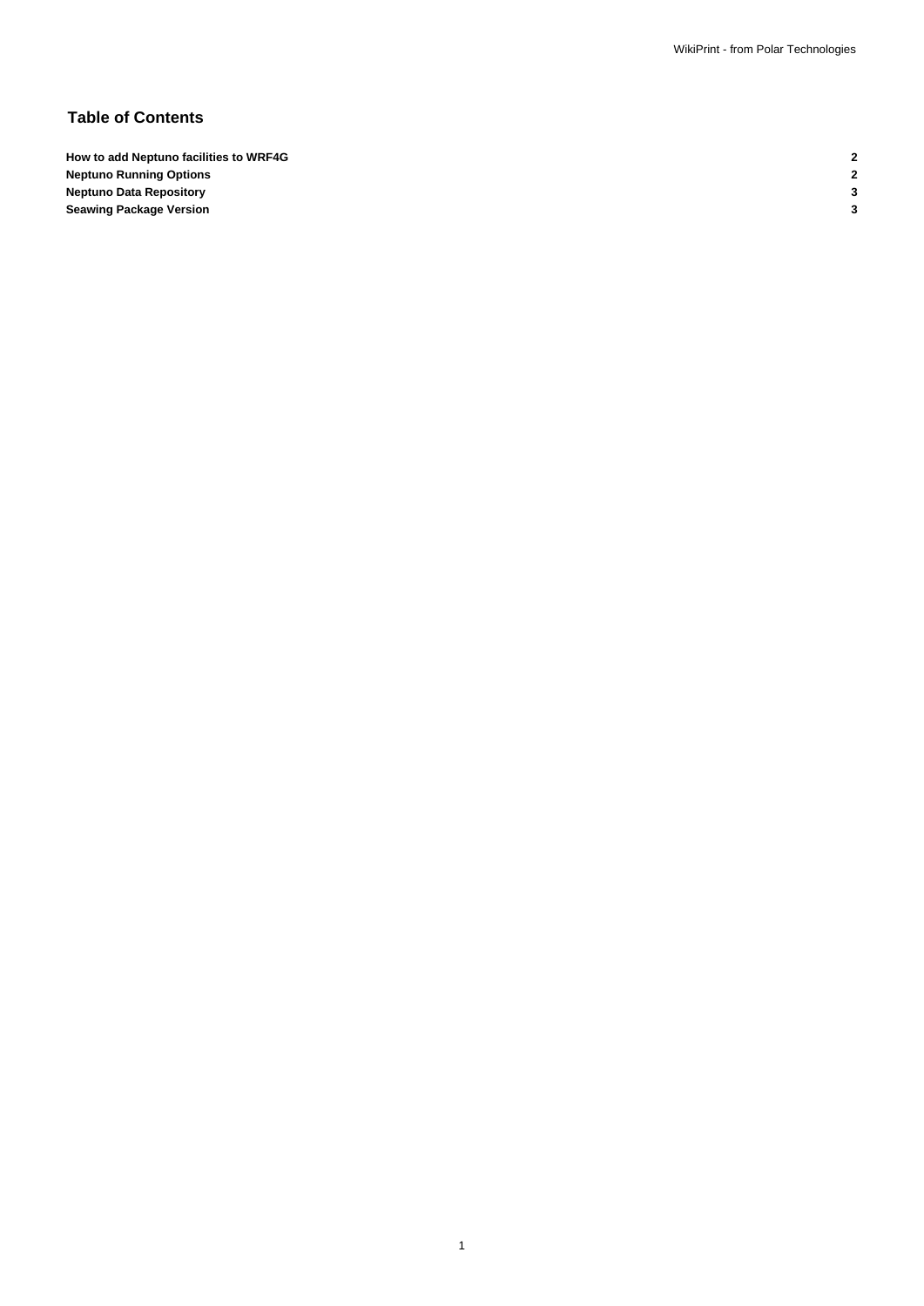# **Table of Contents**

**How to add Neptuno facilities to WRF4G 2 Neptuno Running Options 2 Neptuno Data Repository 3 Seawing Package Version 3**

1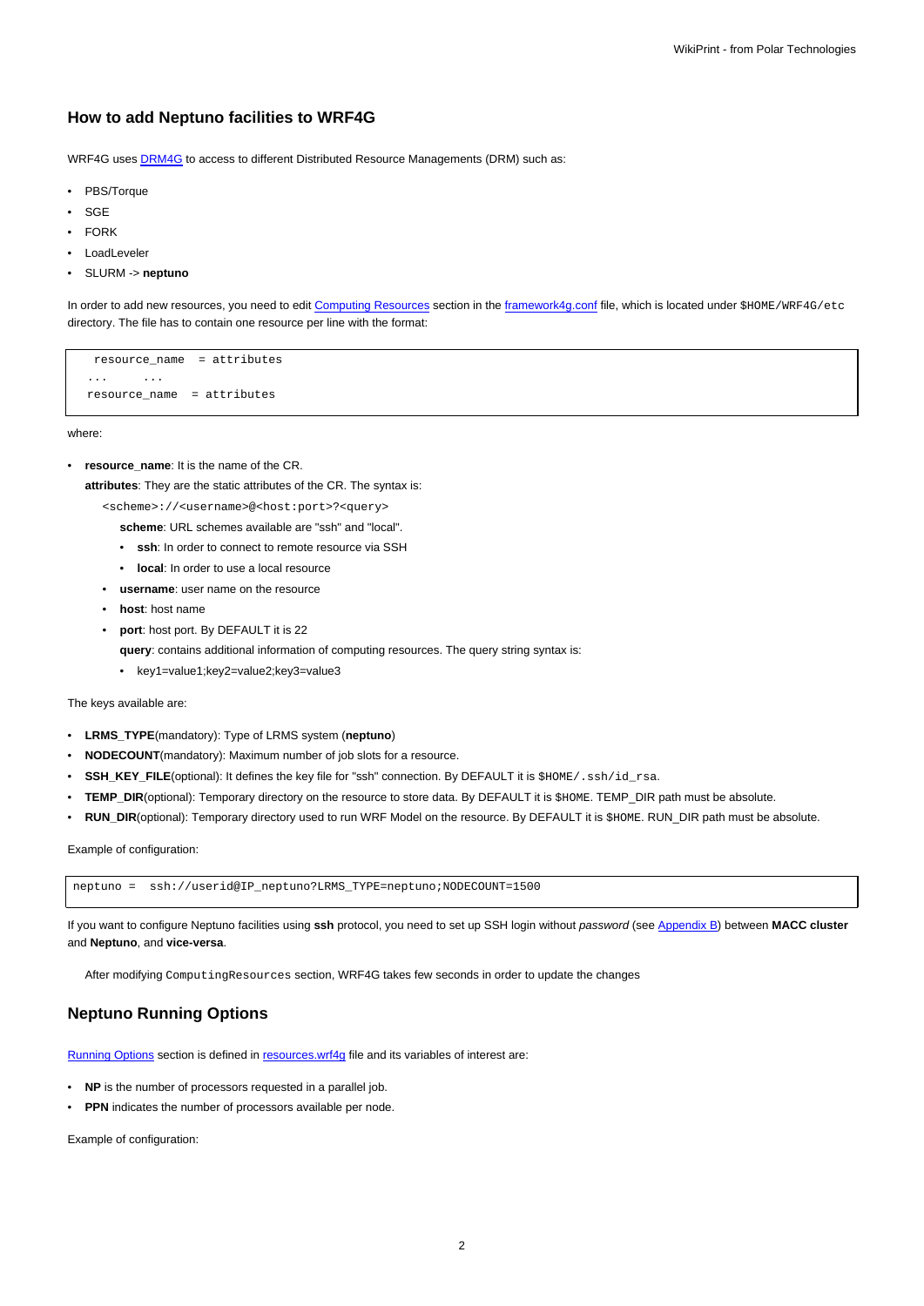#### **How to add Neptuno facilities to WRF4G**

WRF4G uses **DRM4G** to access to different Distributed Resource Managements (DRM) such as:

- PBS/Torque
- SGE
- **FORK**
- LoadLeveler
- SLURM -> **neptuno**

In order to add new resources, you need to edit [Computing Resources](https://meteo.unican.es/trac/wiki/WRF4Gframework4g_conf#ComputingResources) section in the [framework4g.conf](https://meteo.unican.es/trac/wiki/WRF4Gframework4g_conf) file, which is located under \$HOME/WRF4G/etc directory. The file has to contain one resource per line with the format:

resource\_name = attributes ... ... resource\_name = attributes

where:

• **resource\_name**: It is the name of the CR.

**attributes**: They are the static attributes of the CR. The syntax is:

<scheme>://<username>@<host:port>?<query>

**scheme**: URL schemes available are "ssh" and "local".

- **ssh**: In order to connect to remote resource via SSH
- **local**: In order to use a local resource
- **username**: user name on the resource
- **host**: host name
- **port**: host port. By DEFAULT it is 22
	- **query**: contains additional information of computing resources. The query string syntax is:
	- key1=value1;key2=value2;key3=value3

The keys available are:

- **LRMS\_TYPE**(mandatory): Type of LRMS system (**neptuno**)
- **NODECOUNT**(mandatory): Maximum number of job slots for a resource.
- **SSH\_KEY\_FILE**(optional): It defines the key file for "ssh" connection. By DEFAULT it is \$HOME/.ssh/id\_rsa.
- **TEMP\_DIR**(optional): Temporary directory on the resource to store data. By DEFAULT it is \$HOME. TEMP\_DIR path must be absolute.
- RUN\_DIR(optional): Temporary directory used to run WRF Model on the resource. By DEFAULT it is \$HOME. RUN\_DIR path must be absolute.

Example of configuration:

neptuno = ssh://userid@IP\_neptuno?LRMS\_TYPE=neptuno;NODECOUNT=1500

If you want to configure Neptuno facilities using **ssh** protocol, you need to set up SSH login without password (see [Appendix B](https://meteo.unican.es/trac/wiki/DRM4G#AppendixB)) between **MACC cluster** and **Neptuno**, and **vice-versa**.

After modifying ComputingResources section, WRF4G takes few seconds in order to update the changes

### **Neptuno Running Options**

[Running Options](https://meteo.unican.es/trac/wiki/WRF4Gresources_wrf4g#RunningOptions) section is defined in [resources.wrf4g](https://meteo.unican.es/trac/wiki/WRF4Gresources_wrf4g) file and its variables of interest are:

- **NP** is the number of processors requested in a parallel job.
- **PPN** indicates the number of processors available per node.

Example of configuration: